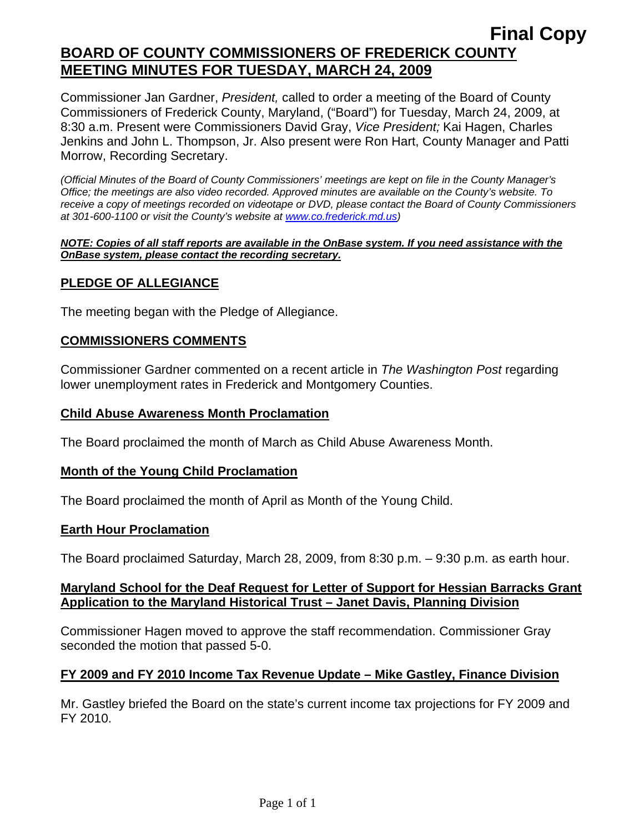Commissioner Jan Gardner, *President,* called to order a meeting of the Board of County Commissioners of Frederick County, Maryland, ("Board") for Tuesday, March 24, 2009, at 8:30 a.m. Present were Commissioners David Gray, *Vice President;* Kai Hagen, Charles Jenkins and John L. Thompson, Jr. Also present were Ron Hart, County Manager and Patti Morrow, Recording Secretary.

*(Official Minutes of the Board of County Commissioners' meetings are kept on file in the County Manager's Office; the meetings are also video recorded. Approved minutes are available on the County's website. To receive a copy of meetings recorded on videotape or DVD, please contact the Board of County Commissioners at 301-600-1100 or visit the County's website at [www.co.frederick.md.us\)](http://www.co.frederick.md.us/)* 

#### *NOTE: Copies of all staff reports are available in the OnBase system. If you need assistance with the OnBase system, please contact the recording secretary.*

## **PLEDGE OF ALLEGIANCE**

The meeting began with the Pledge of Allegiance.

## **COMMISSIONERS COMMENTS**

Commissioner Gardner commented on a recent article in *The Washington Post* regarding lower unemployment rates in Frederick and Montgomery Counties.

### **Child Abuse Awareness Month Proclamation**

The Board proclaimed the month of March as Child Abuse Awareness Month.

### **Month of the Young Child Proclamation**

The Board proclaimed the month of April as Month of the Young Child.

### **Earth Hour Proclamation**

The Board proclaimed Saturday, March 28, 2009, from 8:30 p.m. – 9:30 p.m. as earth hour.

## **Maryland School for the Deaf Request for Letter of Support for Hessian Barracks Grant Application to the Maryland Historical Trust – Janet Davis, Planning Division**

Commissioner Hagen moved to approve the staff recommendation. Commissioner Gray seconded the motion that passed 5-0.

## **FY 2009 and FY 2010 Income Tax Revenue Update – Mike Gastley, Finance Division**

Mr. Gastley briefed the Board on the state's current income tax projections for FY 2009 and FY 2010.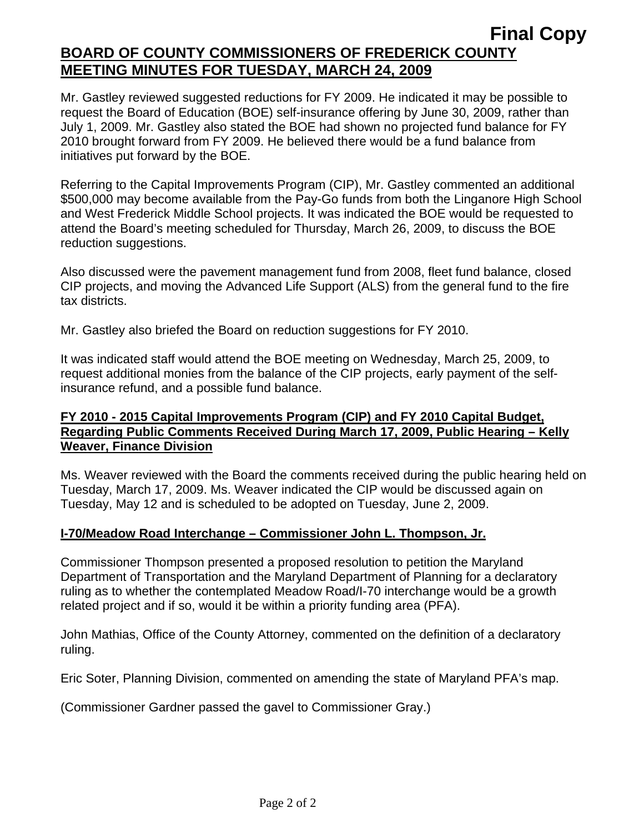Mr. Gastley reviewed suggested reductions for FY 2009. He indicated it may be possible to request the Board of Education (BOE) self-insurance offering by June 30, 2009, rather than July 1, 2009. Mr. Gastley also stated the BOE had shown no projected fund balance for FY 2010 brought forward from FY 2009. He believed there would be a fund balance from initiatives put forward by the BOE.

Referring to the Capital Improvements Program (CIP), Mr. Gastley commented an additional \$500,000 may become available from the Pay-Go funds from both the Linganore High School and West Frederick Middle School projects. It was indicated the BOE would be requested to attend the Board's meeting scheduled for Thursday, March 26, 2009, to discuss the BOE reduction suggestions.

Also discussed were the pavement management fund from 2008, fleet fund balance, closed CIP projects, and moving the Advanced Life Support (ALS) from the general fund to the fire tax districts.

Mr. Gastley also briefed the Board on reduction suggestions for FY 2010.

It was indicated staff would attend the BOE meeting on Wednesday, March 25, 2009, to request additional monies from the balance of the CIP projects, early payment of the selfinsurance refund, and a possible fund balance.

## **FY 2010 - 2015 Capital Improvements Program (CIP) and FY 2010 Capital Budget, Regarding Public Comments Received During March 17, 2009, Public Hearing – Kelly Weaver, Finance Division**

Ms. Weaver reviewed with the Board the comments received during the public hearing held on Tuesday, March 17, 2009. Ms. Weaver indicated the CIP would be discussed again on Tuesday, May 12 and is scheduled to be adopted on Tuesday, June 2, 2009.

## **I-70/Meadow Road Interchange – Commissioner John L. Thompson, Jr.**

Commissioner Thompson presented a proposed resolution to petition the Maryland Department of Transportation and the Maryland Department of Planning for a declaratory ruling as to whether the contemplated Meadow Road/I-70 interchange would be a growth related project and if so, would it be within a priority funding area (PFA).

John Mathias, Office of the County Attorney, commented on the definition of a declaratory ruling.

Eric Soter, Planning Division, commented on amending the state of Maryland PFA's map.

(Commissioner Gardner passed the gavel to Commissioner Gray.)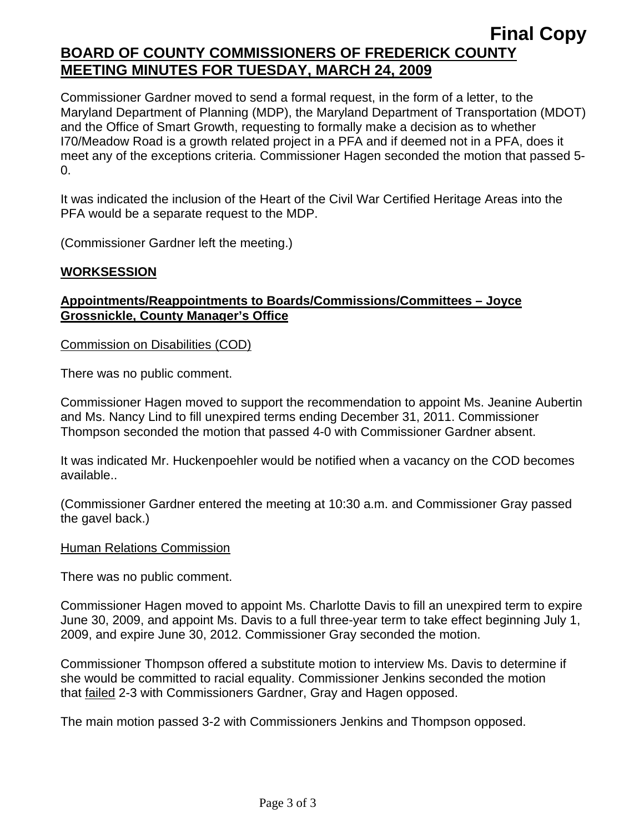Commissioner Gardner moved to send a formal request, in the form of a letter, to the Maryland Department of Planning (MDP), the Maryland Department of Transportation (MDOT) and the Office of Smart Growth, requesting to formally make a decision as to whether I70/Meadow Road is a growth related project in a PFA and if deemed not in a PFA, does it meet any of the exceptions criteria. Commissioner Hagen seconded the motion that passed 5-  $\Omega$ .

It was indicated the inclusion of the Heart of the Civil War Certified Heritage Areas into the PFA would be a separate request to the MDP.

(Commissioner Gardner left the meeting.)

## **WORKSESSION**

## **Appointments/Reappointments to Boards/Commissions/Committees – Joyce Grossnickle, County Manager's Office**

Commission on Disabilities (COD)

There was no public comment.

Commissioner Hagen moved to support the recommendation to appoint Ms. Jeanine Aubertin and Ms. Nancy Lind to fill unexpired terms ending December 31, 2011. Commissioner Thompson seconded the motion that passed 4-0 with Commissioner Gardner absent.

It was indicated Mr. Huckenpoehler would be notified when a vacancy on the COD becomes available..

(Commissioner Gardner entered the meeting at 10:30 a.m. and Commissioner Gray passed the gavel back.)

### Human Relations Commission

There was no public comment.

Commissioner Hagen moved to appoint Ms. Charlotte Davis to fill an unexpired term to expire June 30, 2009, and appoint Ms. Davis to a full three-year term to take effect beginning July 1, 2009, and expire June 30, 2012. Commissioner Gray seconded the motion.

Commissioner Thompson offered a substitute motion to interview Ms. Davis to determine if she would be committed to racial equality. Commissioner Jenkins seconded the motion that failed 2-3 with Commissioners Gardner, Gray and Hagen opposed.

The main motion passed 3-2 with Commissioners Jenkins and Thompson opposed.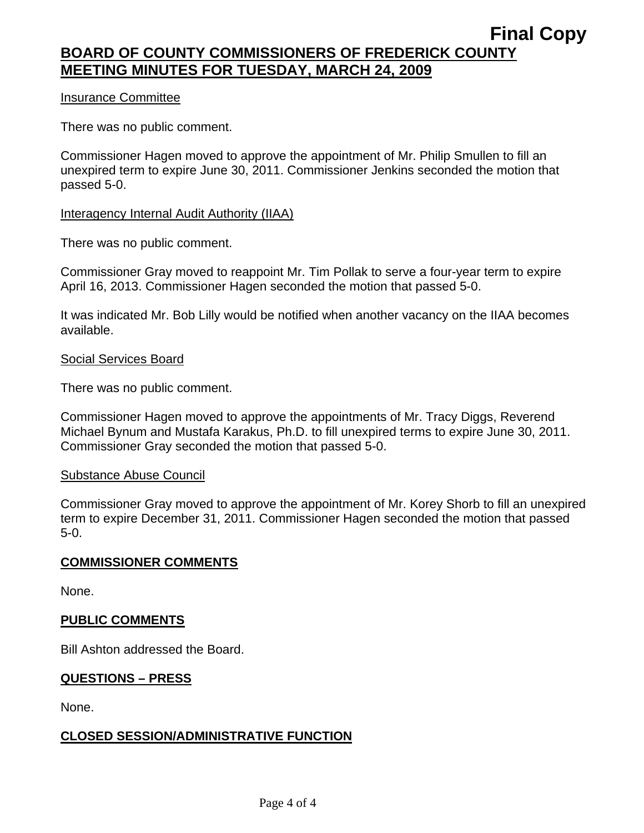### Insurance Committee

There was no public comment.

Commissioner Hagen moved to approve the appointment of Mr. Philip Smullen to fill an unexpired term to expire June 30, 2011. Commissioner Jenkins seconded the motion that passed 5-0.

### Interagency Internal Audit Authority (IIAA)

There was no public comment.

Commissioner Gray moved to reappoint Mr. Tim Pollak to serve a four-year term to expire April 16, 2013. Commissioner Hagen seconded the motion that passed 5-0.

It was indicated Mr. Bob Lilly would be notified when another vacancy on the IIAA becomes available.

### Social Services Board

There was no public comment.

Commissioner Hagen moved to approve the appointments of Mr. Tracy Diggs, Reverend Michael Bynum and Mustafa Karakus, Ph.D. to fill unexpired terms to expire June 30, 2011. Commissioner Gray seconded the motion that passed 5-0.

### Substance Abuse Council

Commissioner Gray moved to approve the appointment of Mr. Korey Shorb to fill an unexpired term to expire December 31, 2011. Commissioner Hagen seconded the motion that passed 5-0.

### **COMMISSIONER COMMENTS**

None.

## **PUBLIC COMMENTS**

Bill Ashton addressed the Board.

## **QUESTIONS – PRESS**

None.

## **CLOSED SESSION/ADMINISTRATIVE FUNCTION**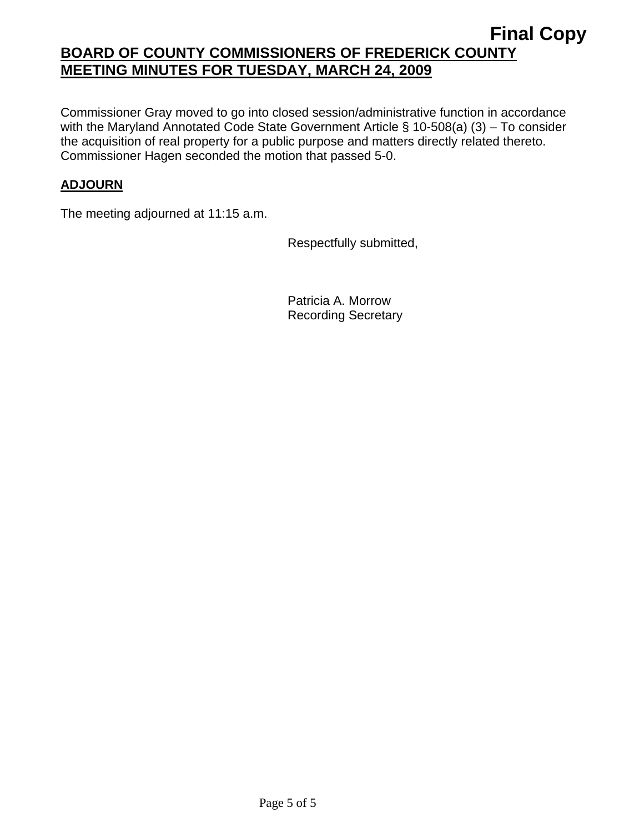Commissioner Gray moved to go into closed session/administrative function in accordance with the Maryland Annotated Code State Government Article § 10-508(a) (3) – To consider the acquisition of real property for a public purpose and matters directly related thereto. Commissioner Hagen seconded the motion that passed 5-0.

## **ADJOURN**

The meeting adjourned at 11:15 a.m.

Respectfully submitted,

Patricia A. Morrow Recording Secretary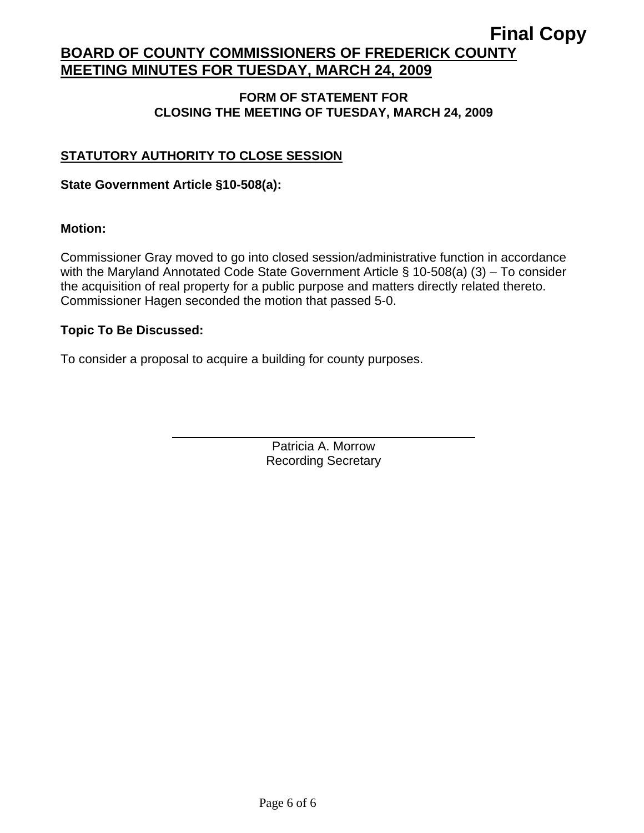## **FORM OF STATEMENT FOR CLOSING THE MEETING OF TUESDAY, MARCH 24, 2009**

## **STATUTORY AUTHORITY TO CLOSE SESSION**

## **State Government Article §10-508(a):**

 $\overline{a}$ 

## **Motion:**

Commissioner Gray moved to go into closed session/administrative function in accordance with the Maryland Annotated Code State Government Article § 10-508(a) (3) – To consider the acquisition of real property for a public purpose and matters directly related thereto. Commissioner Hagen seconded the motion that passed 5-0.

## **Topic To Be Discussed:**

To consider a proposal to acquire a building for county purposes.

Patricia A. Morrow Recording Secretary